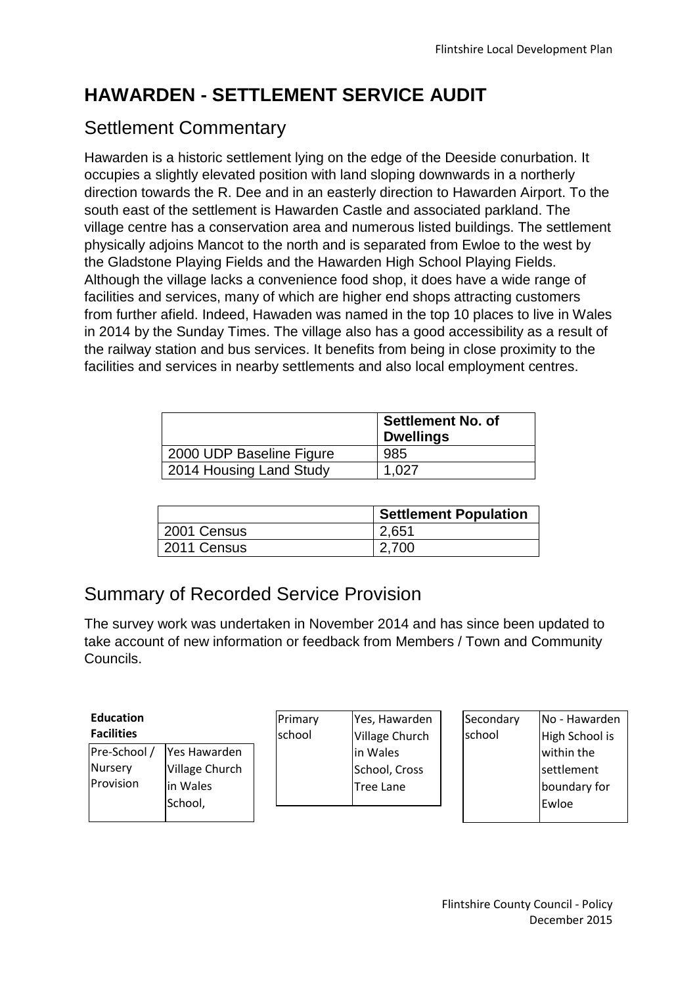# **HAWARDEN - SETTLEMENT SERVICE AUDIT**

### Settlement Commentary

Hawarden is a historic settlement lying on the edge of the Deeside conurbation. It occupies a slightly elevated position with land sloping downwards in a northerly direction towards the R. Dee and in an easterly direction to Hawarden Airport. To the south east of the settlement is Hawarden Castle and associated parkland. The village centre has a conservation area and numerous listed buildings. The settlement physically adjoins Mancot to the north and is separated from Ewloe to the west by the Gladstone Playing Fields and the Hawarden High School Playing Fields. Although the village lacks a convenience food shop, it does have a wide range of facilities and services, many of which are higher end shops attracting customers from further afield. Indeed, Hawaden was named in the top 10 places to live in Wales in 2014 by the Sunday Times. The village also has a good accessibility as a result of the railway station and bus services. It benefits from being in close proximity to the facilities and services in nearby settlements and also local employment centres.

|                          | <b>Settlement No. of</b><br><b>Dwellings</b> |
|--------------------------|----------------------------------------------|
| 2000 UDP Baseline Figure | 985                                          |
| 2014 Housing Land Study  | 1.027                                        |

|             | <b>Settlement Population</b> |
|-------------|------------------------------|
| 2001 Census | 2,651                        |
| 2011 Census | 2,700                        |

## Summary of Recorded Service Provision

The survey work was undertaken in November 2014 and has since been updated to take account of new information or feedback from Members / Town and Community Councils.

| <b>Education</b><br><b>Facilities</b> |                                                       | Primary<br>school | Yes, Hawarden<br>Village Church               | Secondary<br>school | No - Hawarden<br>High School is                   |
|---------------------------------------|-------------------------------------------------------|-------------------|-----------------------------------------------|---------------------|---------------------------------------------------|
| Pre-School /<br>Nursery<br>Provision  | Yes Hawarden<br>Village Church<br>in Wales<br>School, |                   | in Wales<br>School, Cross<br><b>Tree Lane</b> |                     | within the<br>settlement<br>boundary for<br>Ewloe |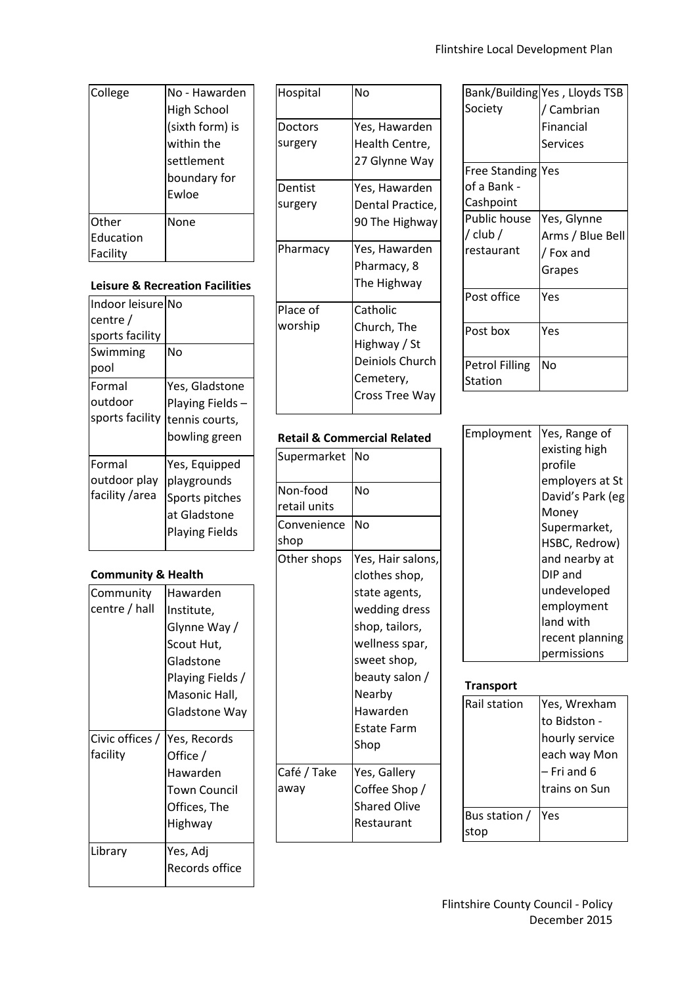| College   | No - Hawarden      |
|-----------|--------------------|
|           | <b>High School</b> |
|           | (sixth form) is    |
|           | within the         |
|           | settlement         |
|           | boundary for       |
|           | Ewloe              |
|           |                    |
| Other     | None               |
| Education |                    |
| Facility  |                    |

#### **Leisure & Recreation Facilities**

| Indoor leisure No |                       |
|-------------------|-----------------------|
| centre /          |                       |
| sports facility   |                       |
| Swimming          | No                    |
| pool              |                       |
| Formal            | Yes, Gladstone        |
| outdoor           | Playing Fields-       |
| sports facility   | tennis courts,        |
|                   | bowling green         |
| Formal            | Yes, Equipped         |
| outdoor play      | playgrounds           |
| facility / area   | Sports pitches        |
|                   | at Gladstone          |
|                   | <b>Playing Fields</b> |

#### **Community & Health**

| Community       | Hawarden         |
|-----------------|------------------|
| centre / hall   | Institute,       |
|                 | Glynne Way /     |
|                 | Scout Hut,       |
|                 | Gladstone        |
|                 | Playing Fields / |
|                 | Masonic Hall,    |
|                 | Gladstone Way    |
|                 |                  |
|                 |                  |
| Civic offices / | Yes, Records     |
| facility        | Office /         |
|                 | Hawarden         |
|                 | Town Council     |
|                 | Offices, The     |
|                 | Highway          |
|                 |                  |
| Library         | Yes, Adj         |
|                 | Records office   |

| Hospital            | No                                                                                        |
|---------------------|-------------------------------------------------------------------------------------------|
| Doctors             | Yes, Hawarden                                                                             |
| surgery             | Health Centre,<br>27 Glynne Way                                                           |
| Dentist<br>surgery  | Yes, Hawarden<br>Dental Practice,<br>90 The Highway                                       |
| Pharmacy            | Yes, Hawarden<br>Pharmacy, 8<br>The Highway                                               |
| Place of<br>worship | Catholic<br>Church, The<br>Highway / St<br>Deiniols Church<br>Cemetery,<br>Cross Tree Way |

#### **Retail & Commercial Related**

| Supermarket              | No                                                                                                                                                                                            |
|--------------------------|-----------------------------------------------------------------------------------------------------------------------------------------------------------------------------------------------|
| Non-food<br>retail units | No                                                                                                                                                                                            |
| Convenience<br>shop      | No                                                                                                                                                                                            |
| Other shops              | Yes, Hair salons,<br>clothes shop,<br>state agents,<br>wedding dress<br>shop, tailors,<br>wellness spar,<br>sweet shop,<br>beauty salon /<br>Nearby<br>Hawarden<br><b>Estate Farm</b><br>Shop |
| Café / Take<br>away      | Yes, Gallery<br>Coffee Shop /<br><b>Shared Olive</b><br>Restaurant                                                                                                                            |

| Society                                         | Bank/Building Yes, Lloyds TSB<br>/ Cambrian<br>Financial<br>Services |
|-------------------------------------------------|----------------------------------------------------------------------|
| Free Standing   Yes<br>of a Bank -<br>Cashpoint |                                                                      |
| <b>Public house</b><br>/ club /<br>restaurant   | Yes, Glynne<br>Arms / Blue Bell<br>/ Fox and<br>Grapes               |
| Post office                                     | Yes                                                                  |
| Post box                                        | Yes                                                                  |
| Petrol Filling<br>Station                       | No                                                                   |

| Employment | Yes, Range of    |
|------------|------------------|
|            | existing high    |
|            | profile          |
|            | employers at St  |
|            | David's Park (eg |
|            | Money            |
|            | Supermarket,     |
|            | HSBC, Redrow)    |
|            | and nearby at    |
|            | DIP and          |
|            | undeveloped      |
|            | employment       |
|            | land with        |
|            | recent planning  |
|            | permissions      |

#### **Transport**

| <b>Rail station</b> |                |
|---------------------|----------------|
|                     | Yes, Wrexham   |
|                     | to Bidston -   |
|                     | hourly service |
|                     | each way Mon   |
|                     | – Fri and 6    |
|                     | trains on Sun  |
|                     |                |
| Bus station /       | Yes            |
|                     |                |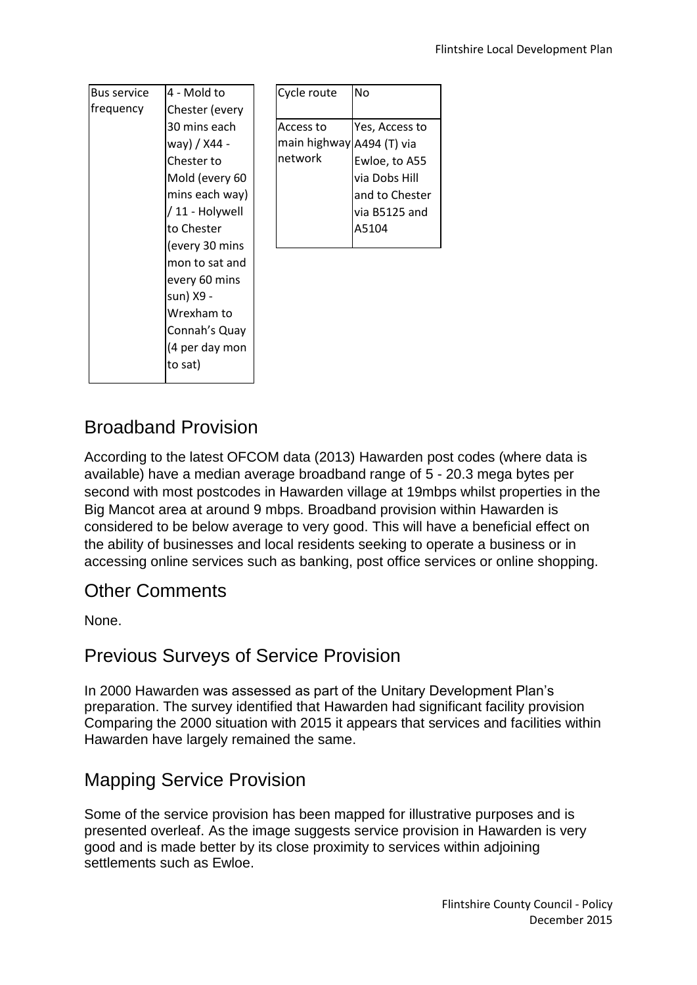| <b>Bus service</b> | 4 - Mold to     |
|--------------------|-----------------|
| frequency          | Chester (every  |
|                    | 30 mins each    |
|                    | way) / X44 -    |
|                    | Chester to      |
|                    | Mold (every 60  |
|                    | mins each way)  |
|                    | / 11 - Holywell |
|                    | to Chester      |
|                    | (every 30 mins  |
|                    | mon to sat and  |
|                    | every 60 mins   |
|                    | sun) X9 -       |
|                    | Wrexham to      |
|                    | Connah's Quay   |
|                    | (4 per day mon  |
|                    | to sat)         |
|                    |                 |

| Cycle route                                       | No                                                                                           |
|---------------------------------------------------|----------------------------------------------------------------------------------------------|
| Access to<br>main highway A494 (T) via<br>network | Yes, Access to<br>Ewloe, to A55<br>via Dobs Hill<br>and to Chester<br>via B5125 and<br>A5104 |

## Broadband Provision

According to the latest OFCOM data (2013) Hawarden post codes (where data is available) have a median average broadband range of 5 - 20.3 mega bytes per second with most postcodes in Hawarden village at 19mbps whilst properties in the Big Mancot area at around 9 mbps. Broadband provision within Hawarden is considered to be below average to very good. This will have a beneficial effect on the ability of businesses and local residents seeking to operate a business or in accessing online services such as banking, post office services or online shopping.

### Other Comments

None.

### Previous Surveys of Service Provision

In 2000 Hawarden was assessed as part of the Unitary Development Plan's preparation. The survey identified that Hawarden had significant facility provision Comparing the 2000 situation with 2015 it appears that services and facilities within Hawarden have largely remained the same.

## Mapping Service Provision

Some of the service provision has been mapped for illustrative purposes and is presented overleaf. As the image suggests service provision in Hawarden is very good and is made better by its close proximity to services within adjoining settlements such as Ewloe.